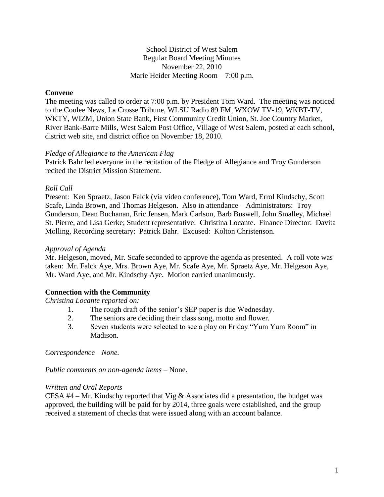### School District of West Salem Regular Board Meeting Minutes November 22, 2010 Marie Heider Meeting Room – 7:00 p.m.

# **Convene**

The meeting was called to order at 7:00 p.m. by President Tom Ward. The meeting was noticed to the Coulee News, La Crosse Tribune, WLSU Radio 89 FM, WXOW TV-19, WKBT-TV, WKTY, WIZM, Union State Bank, First Community Credit Union, St. Joe Country Market, River Bank-Barre Mills, West Salem Post Office, Village of West Salem, posted at each school, district web site, and district office on November 18, 2010.

#### *Pledge of Allegiance to the American Flag*

Patrick Bahr led everyone in the recitation of the Pledge of Allegiance and Troy Gunderson recited the District Mission Statement.

### *Roll Call*

Present: Ken Spraetz, Jason Falck (via video conference), Tom Ward, Errol Kindschy, Scott Scafe, Linda Brown, and Thomas Helgeson. Also in attendance – Administrators: Troy Gunderson, Dean Buchanan, Eric Jensen, Mark Carlson, Barb Buswell, John Smalley, Michael St. Pierre, and Lisa Gerke; Student representative: Christina Locante. Finance Director: Davita Molling, Recording secretary: Patrick Bahr. Excused: Kolton Christenson.

### *Approval of Agenda*

Mr. Helgeson, moved, Mr. Scafe seconded to approve the agenda as presented. A roll vote was taken: Mr. Falck Aye, Mrs. Brown Aye, Mr. Scafe Aye, Mr. Spraetz Aye, Mr. Helgeson Aye, Mr. Ward Aye, and Mr. Kindschy Aye. Motion carried unanimously.

# **Connection with the Community**

*Christina Locante reported on:*

- 1. The rough draft of the senior's SEP paper is due Wednesday.
- 2. The seniors are deciding their class song, motto and flower.
- 3. Seven students were selected to see a play on Friday "Yum Yum Room" in Madison.

*Correspondence—None.*

*Public comments on non-agenda items –* None.

#### *Written and Oral Reports*

CESA  $#4$  – Mr. Kindschy reported that Vig & Associates did a presentation, the budget was approved, the building will be paid for by 2014, three goals were established, and the group received a statement of checks that were issued along with an account balance.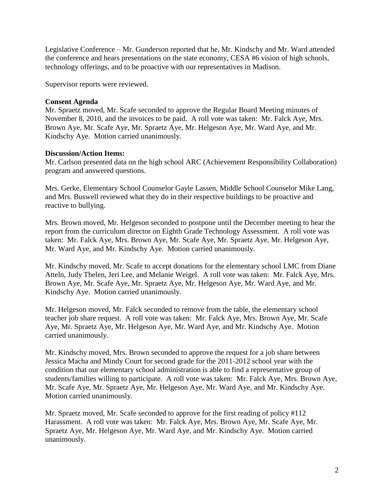Legislative Conference – Mr. Gunderson reported that he, Mr. Kindschy and Mr. Ward attended the conference and hears presentations on the state economy, CESA #6 vision of high schools, technology offerings, and to be proactive with our representatives in Madison.

Supervisor reports were reviewed.

# **Consent Agenda**

Mr. Spraetz moved, Mr. Scafe seconded to approve the Regular Board Meeting minutes of November 8, 2010, and the invoices to be paid. A roll vote was taken: Mr. Falck Aye, Mrs. Brown Aye, Mr. Scafe Aye, Mr. Spraetz Aye, Mr. Helgeson Aye, Mr. Ward Aye, and Mr. Kindschy Aye. Motion carried unanimously.

# **Discussion/Action Items:**

Mr. Carlson presented data on the high school ARC (Achievement Responsibility Collaboration) program and answered questions.

Mrs. Gerke, Elementary School Counselor Gayle Lassen, Middle School Counselor Mike Lang, and Mrs. Buswell reviewed what they do in their respective buildings to be proactive and reactive to bullying.

Mrs. Brown moved, Mr. Helgeson seconded to postpone until the December meeting to hear the report from the curriculum director on Eighth Grade Technology Assessment. A roll vote was taken: Mr. Falck Aye, Mrs. Brown Aye, Mr. Scafe Aye, Mr. Spraetz Aye, Mr. Helgeson Aye, Mr. Ward Aye, and Mr. Kindschy Aye. Motion carried unanimously.

Mr. Kindschy moved, Mr. Scafe to accept donations for the elementary school LMC from Diane Atteln, Judy Thelen, Jeri Lee, and Melanie Weigel. A roll vote was taken: Mr. Falck Aye, Mrs. Brown Aye, Mr. Scafe Aye, Mr. Spraetz Aye, Mr. Helgeson Aye, Mr. Ward Aye, and Mr. Kindschy Aye. Motion carried unanimously.

Mr. Helgeson moved, Mr. Falck seconded to remove from the table, the elementary school teacher job share request. A roll vote was taken: Mr. Falck Aye, Mrs. Brown Aye, Mr. Scafe Aye, Mr. Spraetz Aye, Mr. Helgeson Aye, Mr. Ward Aye, and Mr. Kindschy Aye. Motion carried unanimously.

Mr. Kindschy moved, Mrs. Brown seconded to approve the request for a job share between Jessica Macha and Mindy Court for second grade for the 2011-2012 school year with the condition that our elementary school administration is able to find a representative group of students/families willing to participate. A roll vote was taken: Mr. Falck Aye, Mrs. Brown Aye, Mr. Scafe Aye, Mr. Spraetz Aye, Mr. Helgeson Aye, Mr. Ward Aye, and Mr. Kindschy Aye. Motion carried unanimously.

Mr. Spraetz moved, Mr. Scafe seconded to approve for the first reading of policy #112 Harassment. A roll vote was taken: Mr. Falck Aye, Mrs. Brown Aye, Mr. Scafe Aye, Mr. Spraetz Aye, Mr. Helgeson Aye, Mr. Ward Aye, and Mr. Kindschy Aye. Motion carried unanimously.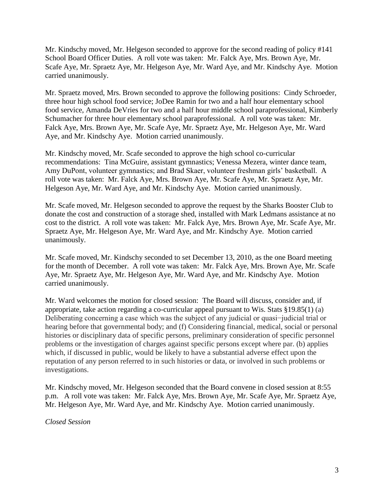Mr. Kindschy moved, Mr. Helgeson seconded to approve for the second reading of policy #141 School Board Officer Duties. A roll vote was taken: Mr. Falck Aye, Mrs. Brown Aye, Mr. Scafe Aye, Mr. Spraetz Aye, Mr. Helgeson Aye, Mr. Ward Aye, and Mr. Kindschy Aye. Motion carried unanimously.

Mr. Spraetz moved, Mrs. Brown seconded to approve the following positions: Cindy Schroeder, three hour high school food service; JoDee Ramin for two and a half hour elementary school food service, Amanda DeVries for two and a half hour middle school paraprofessional, Kimberly Schumacher for three hour elementary school paraprofessional. A roll vote was taken: Mr. Falck Aye, Mrs. Brown Aye, Mr. Scafe Aye, Mr. Spraetz Aye, Mr. Helgeson Aye, Mr. Ward Aye, and Mr. Kindschy Aye. Motion carried unanimously.

Mr. Kindschy moved, Mr. Scafe seconded to approve the high school co-curricular recommendations: Tina McGuire, assistant gymnastics; Venessa Mezera, winter dance team, Amy DuPont, volunteer gymnastics; and Brad Skaer, volunteer freshman girls' basketball. A roll vote was taken: Mr. Falck Aye, Mrs. Brown Aye, Mr. Scafe Aye, Mr. Spraetz Aye, Mr. Helgeson Aye, Mr. Ward Aye, and Mr. Kindschy Aye. Motion carried unanimously.

Mr. Scafe moved, Mr. Helgeson seconded to approve the request by the Sharks Booster Club to donate the cost and construction of a storage shed, installed with Mark Ledmans assistance at no cost to the district. A roll vote was taken: Mr. Falck Aye, Mrs. Brown Aye, Mr. Scafe Aye, Mr. Spraetz Aye, Mr. Helgeson Aye, Mr. Ward Aye, and Mr. Kindschy Aye. Motion carried unanimously.

Mr. Scafe moved, Mr. Kindschy seconded to set December 13, 2010, as the one Board meeting for the month of December. A roll vote was taken: Mr. Falck Aye, Mrs. Brown Aye, Mr. Scafe Aye, Mr. Spraetz Aye, Mr. Helgeson Aye, Mr. Ward Aye, and Mr. Kindschy Aye. Motion carried unanimously.

Mr. Ward welcomes the motion for closed session: The Board will discuss, consider and, if appropriate, take action regarding a co-curricular appeal pursuant to Wis. Stats §19.85(1) (a) Deliberating concerning a case which was the subject of any judicial or quasi−judicial trial or hearing before that governmental body; and (f) Considering financial, medical, social or personal histories or disciplinary data of specific persons, preliminary consideration of specific personnel problems or the investigation of charges against specific persons except where par. (b) applies which, if discussed in public, would be likely to have a substantial adverse effect upon the reputation of any person referred to in such histories or data, or involved in such problems or investigations.

Mr. Kindschy moved, Mr. Helgeson seconded that the Board convene in closed session at 8:55 p.m. A roll vote was taken: Mr. Falck Aye, Mrs. Brown Aye, Mr. Scafe Aye, Mr. Spraetz Aye, Mr. Helgeson Aye, Mr. Ward Aye, and Mr. Kindschy Aye. Motion carried unanimously.

*Closed Session*